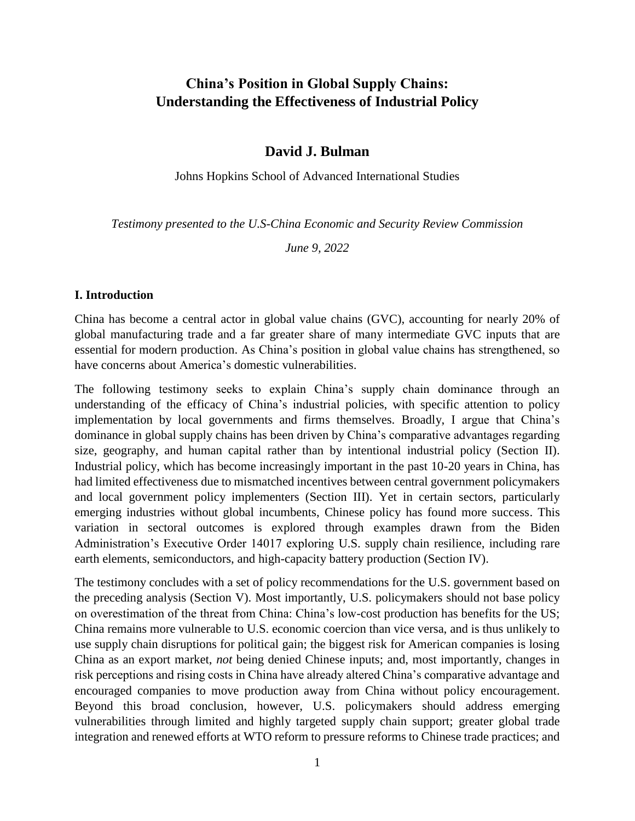# **China's Position in Global Supply Chains: Understanding the Effectiveness of Industrial Policy**

#### **David J. Bulman**

Johns Hopkins School of Advanced International Studies

*Testimony presented to the U.S-China Economic and Security Review Commission*

*June 9, 2022*

#### **I. Introduction**

China has become a central actor in global value chains (GVC), accounting for nearly 20% of global manufacturing trade and a far greater share of many intermediate GVC inputs that are essential for modern production. As China's position in global value chains has strengthened, so have concerns about America's domestic vulnerabilities.

The following testimony seeks to explain China's supply chain dominance through an understanding of the efficacy of China's industrial policies, with specific attention to policy implementation by local governments and firms themselves. Broadly, I argue that China's dominance in global supply chains has been driven by China's comparative advantages regarding size, geography, and human capital rather than by intentional industrial policy (Section II). Industrial policy, which has become increasingly important in the past 10-20 years in China, has had limited effectiveness due to mismatched incentives between central government policymakers and local government policy implementers (Section III). Yet in certain sectors, particularly emerging industries without global incumbents, Chinese policy has found more success. This variation in sectoral outcomes is explored through examples drawn from the Biden Administration's Executive Order 14017 exploring U.S. supply chain resilience, including rare earth elements, semiconductors, and high-capacity battery production (Section IV).

The testimony concludes with a set of policy recommendations for the U.S. government based on the preceding analysis (Section V). Most importantly, U.S. policymakers should not base policy on overestimation of the threat from China: China's low-cost production has benefits for the US; China remains more vulnerable to U.S. economic coercion than vice versa, and is thus unlikely to use supply chain disruptions for political gain; the biggest risk for American companies is losing China as an export market, *not* being denied Chinese inputs; and, most importantly, changes in risk perceptions and rising costs in China have already altered China's comparative advantage and encouraged companies to move production away from China without policy encouragement. Beyond this broad conclusion, however, U.S. policymakers should address emerging vulnerabilities through limited and highly targeted supply chain support; greater global trade integration and renewed efforts at WTO reform to pressure reforms to Chinese trade practices; and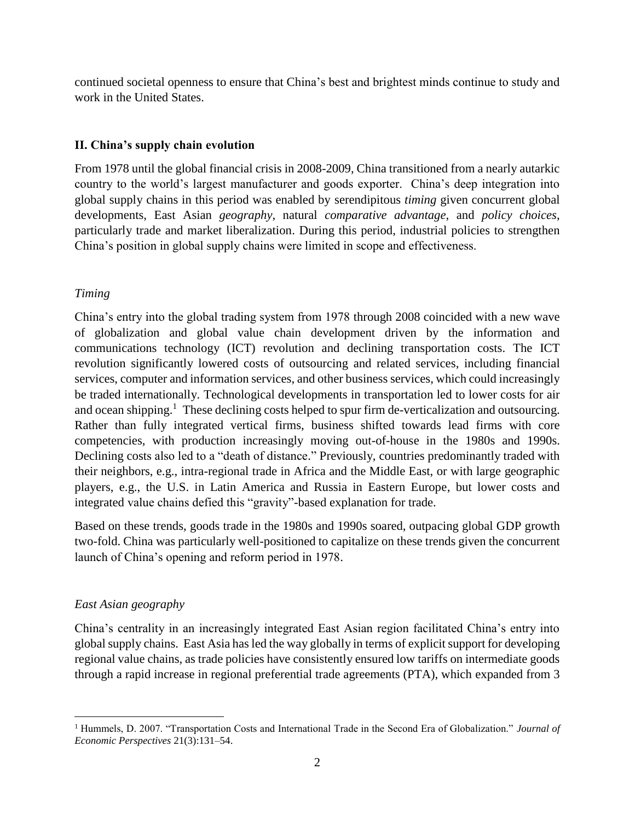continued societal openness to ensure that China's best and brightest minds continue to study and work in the United States.

# **II. China's supply chain evolution**

From 1978 until the global financial crisis in 2008-2009, China transitioned from a nearly autarkic country to the world's largest manufacturer and goods exporter. China's deep integration into global supply chains in this period was enabled by serendipitous *timing* given concurrent global developments, East Asian *geography*, natural *comparative advantage*, and *policy choices*, particularly trade and market liberalization. During this period, industrial policies to strengthen China's position in global supply chains were limited in scope and effectiveness.

# *Timing*

China's entry into the global trading system from 1978 through 2008 coincided with a new wave of globalization and global value chain development driven by the information and communications technology (ICT) revolution and declining transportation costs. The ICT revolution significantly lowered costs of outsourcing and related services, including financial services, computer and information services, and other business services, which could increasingly be traded internationally. Technological developments in transportation led to lower costs for air and ocean shipping.<sup>1</sup> These declining costs helped to spur firm de-verticalization and outsourcing. Rather than fully integrated vertical firms, business shifted towards lead firms with core competencies, with production increasingly moving out-of-house in the 1980s and 1990s. Declining costs also led to a "death of distance." Previously, countries predominantly traded with their neighbors, e.g., intra-regional trade in Africa and the Middle East, or with large geographic players, e.g., the U.S. in Latin America and Russia in Eastern Europe, but lower costs and integrated value chains defied this "gravity"-based explanation for trade.

Based on these trends, goods trade in the 1980s and 1990s soared, outpacing global GDP growth two-fold. China was particularly well-positioned to capitalize on these trends given the concurrent launch of China's opening and reform period in 1978.

## *East Asian geography*

 $\overline{a}$ 

China's centrality in an increasingly integrated East Asian region facilitated China's entry into global supply chains. East Asia has led the way globally in terms of explicit support for developing regional value chains, as trade policies have consistently ensured low tariffs on intermediate goods through a rapid increase in regional preferential trade agreements (PTA), which expanded from 3

<sup>1</sup> Hummels, D. 2007. "Transportation Costs and International Trade in the Second Era of Globalization." *Journal of Economic Perspectives* 21(3):131–54.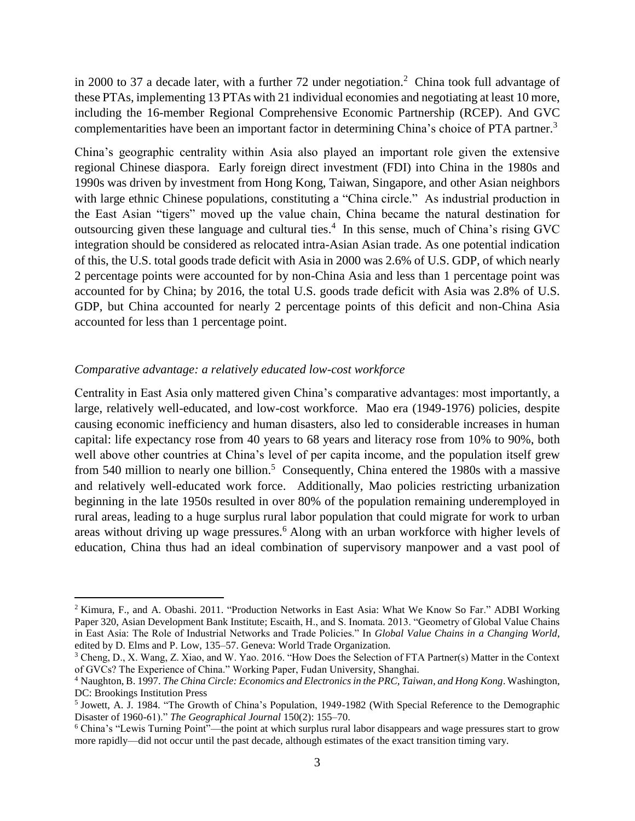in 2000 to 37 a decade later, with a further 72 under negotiation.<sup>2</sup> China took full advantage of these PTAs, implementing 13 PTAs with 21 individual economies and negotiating at least 10 more, including the 16-member Regional Comprehensive Economic Partnership (RCEP). And GVC complementarities have been an important factor in determining China's choice of PTA partner.<sup>3</sup>

China's geographic centrality within Asia also played an important role given the extensive regional Chinese diaspora. Early foreign direct investment (FDI) into China in the 1980s and 1990s was driven by investment from Hong Kong, Taiwan, Singapore, and other Asian neighbors with large ethnic Chinese populations, constituting a "China circle." As industrial production in the East Asian "tigers" moved up the value chain, China became the natural destination for outsourcing given these language and cultural ties. 4 In this sense, much of China's rising GVC integration should be considered as relocated intra-Asian Asian trade. As one potential indication of this, the U.S. total goods trade deficit with Asia in 2000 was 2.6% of U.S. GDP, of which nearly 2 percentage points were accounted for by non-China Asia and less than 1 percentage point was accounted for by China; by 2016, the total U.S. goods trade deficit with Asia was 2.8% of U.S. GDP, but China accounted for nearly 2 percentage points of this deficit and non-China Asia accounted for less than 1 percentage point.

#### *Comparative advantage: a relatively educated low-cost workforce*

 $\overline{a}$ 

Centrality in East Asia only mattered given China's comparative advantages: most importantly, a large, relatively well-educated, and low-cost workforce. Mao era (1949-1976) policies, despite causing economic inefficiency and human disasters, also led to considerable increases in human capital: life expectancy rose from 40 years to 68 years and literacy rose from 10% to 90%, both well above other countries at China's level of per capita income, and the population itself grew from 540 million to nearly one billion.<sup>5</sup> Consequently, China entered the 1980s with a massive and relatively well-educated work force. Additionally, Mao policies restricting urbanization beginning in the late 1950s resulted in over 80% of the population remaining underemployed in rural areas, leading to a huge surplus rural labor population that could migrate for work to urban areas without driving up wage pressures.<sup>6</sup> Along with an urban workforce with higher levels of education, China thus had an ideal combination of supervisory manpower and a vast pool of

<sup>&</sup>lt;sup>2</sup> Kimura, F., and A. Obashi. 2011. "Production Networks in East Asia: What We Know So Far." ADBI Working Paper 320, Asian Development Bank Institute; Escaith, H., and S. Inomata. 2013. "Geometry of Global Value Chains in East Asia: The Role of Industrial Networks and Trade Policies." In *Global Value Chains in a Changing World*, edited by D. Elms and P. Low, 135–57. Geneva: World Trade Organization.

<sup>3</sup> Cheng, D., X. Wang, Z. Xiao, and W. Yao. 2016. "How Does the Selection of FTA Partner(s) Matter in the Context of GVCs? The Experience of China." Working Paper, Fudan University, Shanghai.

<sup>4</sup> Naughton, B. 1997. *The China Circle: Economics and Electronics in the PRC, Taiwan, and Hong Kong*. Washington, DC: Brookings Institution Press

<sup>&</sup>lt;sup>5</sup> Jowett, A. J. 1984. "The Growth of China's Population, 1949-1982 (With Special Reference to the Demographic Disaster of 1960-61)." *The Geographical Journal* 150(2): 155–70.

<sup>6</sup> China's "Lewis Turning Point"—the point at which surplus rural labor disappears and wage pressures start to grow more rapidly—did not occur until the past decade, although estimates of the exact transition timing vary.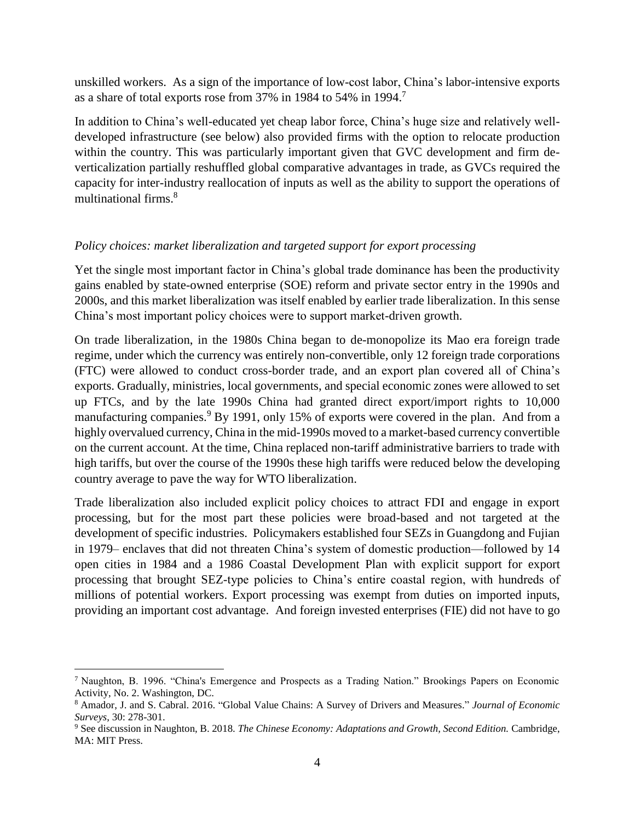unskilled workers. As a sign of the importance of low-cost labor, China's labor-intensive exports as a share of total exports rose from 37% in 1984 to 54% in 1994.<sup>7</sup>

In addition to China's well-educated yet cheap labor force, China's huge size and relatively welldeveloped infrastructure (see below) also provided firms with the option to relocate production within the country. This was particularly important given that GVC development and firm deverticalization partially reshuffled global comparative advantages in trade, as GVCs required the capacity for inter-industry reallocation of inputs as well as the ability to support the operations of multinational firms.<sup>8</sup>

#### *Policy choices: market liberalization and targeted support for export processing*

Yet the single most important factor in China's global trade dominance has been the productivity gains enabled by state-owned enterprise (SOE) reform and private sector entry in the 1990s and 2000s, and this market liberalization was itself enabled by earlier trade liberalization. In this sense China's most important policy choices were to support market-driven growth.

On trade liberalization, in the 1980s China began to de-monopolize its Mao era foreign trade regime, under which the currency was entirely non-convertible, only 12 foreign trade corporations (FTC) were allowed to conduct cross-border trade, and an export plan covered all of China's exports. Gradually, ministries, local governments, and special economic zones were allowed to set up FTCs, and by the late 1990s China had granted direct export/import rights to 10,000 manufacturing companies.<sup>9</sup> By 1991, only 15% of exports were covered in the plan. And from a highly overvalued currency, China in the mid-1990s moved to a market-based currency convertible on the current account. At the time, China replaced non-tariff administrative barriers to trade with high tariffs, but over the course of the 1990s these high tariffs were reduced below the developing country average to pave the way for WTO liberalization.

Trade liberalization also included explicit policy choices to attract FDI and engage in export processing, but for the most part these policies were broad-based and not targeted at the development of specific industries. Policymakers established four SEZs in Guangdong and Fujian in 1979– enclaves that did not threaten China's system of domestic production—followed by 14 open cities in 1984 and a 1986 Coastal Development Plan with explicit support for export processing that brought SEZ-type policies to China's entire coastal region, with hundreds of millions of potential workers. Export processing was exempt from duties on imported inputs, providing an important cost advantage. And foreign invested enterprises (FIE) did not have to go

<sup>7</sup> Naughton, B. 1996. "China's Emergence and Prospects as a Trading Nation." Brookings Papers on Economic Activity, No. 2. Washington, DC.

<sup>8</sup> Amador, J. and S. Cabral. 2016. "Global Value Chains: A Survey of Drivers and Measures." *Journal of Economic Surveys*, 30: 278-301.

<sup>9</sup> See discussion in Naughton, B. 2018. *The Chinese Economy: Adaptations and Growth, Second Edition.* Cambridge, MA: MIT Press.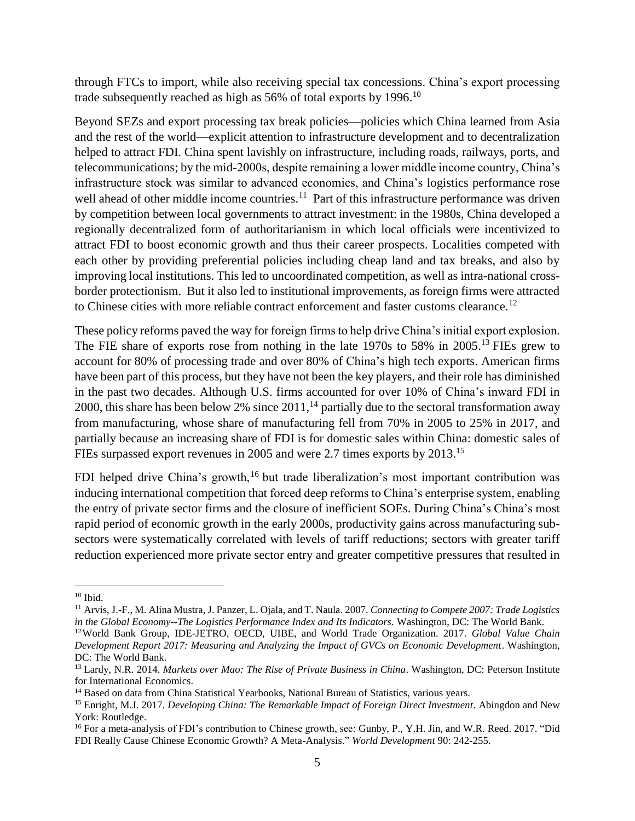through FTCs to import, while also receiving special tax concessions. China's export processing trade subsequently reached as high as 56% of total exports by 1996.<sup>10</sup>

Beyond SEZs and export processing tax break policies—policies which China learned from Asia and the rest of the world—explicit attention to infrastructure development and to decentralization helped to attract FDI. China spent lavishly on infrastructure, including roads, railways, ports, and telecommunications; by the mid-2000s, despite remaining a lower middle income country, China's infrastructure stock was similar to advanced economies, and China's logistics performance rose well ahead of other middle income countries.<sup>11</sup> Part of this infrastructure performance was driven by competition between local governments to attract investment: in the 1980s, China developed a regionally decentralized form of authoritarianism in which local officials were incentivized to attract FDI to boost economic growth and thus their career prospects. Localities competed with each other by providing preferential policies including cheap land and tax breaks, and also by improving local institutions. This led to uncoordinated competition, as well as intra-national crossborder protectionism. But it also led to institutional improvements, as foreign firms were attracted to Chinese cities with more reliable contract enforcement and faster customs clearance.<sup>12</sup>

These policy reforms paved the way for foreign firms to help drive China's initial export explosion. The FIE share of exports rose from nothing in the late 1970s to 58% in 2005.<sup>13</sup> FIEs grew to account for 80% of processing trade and over 80% of China's high tech exports. American firms have been part of this process, but they have not been the key players, and their role has diminished in the past two decades. Although U.S. firms accounted for over 10% of China's inward FDI in 2000, this share has been below 2% since 2011,<sup>14</sup> partially due to the sectoral transformation away from manufacturing, whose share of manufacturing fell from 70% in 2005 to 25% in 2017, and partially because an increasing share of FDI is for domestic sales within China: domestic sales of FIEs surpassed export revenues in 2005 and were 2.7 times exports by 2013.<sup>15</sup>

FDI helped drive China's growth,<sup>16</sup> but trade liberalization's most important contribution was inducing international competition that forced deep reforms to China's enterprise system, enabling the entry of private sector firms and the closure of inefficient SOEs. During China's China's most rapid period of economic growth in the early 2000s, productivity gains across manufacturing subsectors were systematically correlated with levels of tariff reductions; sectors with greater tariff reduction experienced more private sector entry and greater competitive pressures that resulted in

 $10$  Ibid.

<sup>11</sup> Arvis, J.-F., M. Alina Mustra, J. Panzer, L. Ojala, and T. Naula. 2007. *Connecting to Compete 2007: Trade Logistics in the Global Economy--The Logistics Performance Index and Its Indicators.* Washington, DC: The World Bank.

<sup>12</sup>World Bank Group, IDE-JETRO, OECD, UIBE, and World Trade Organization. 2017. *Global Value Chain Development Report 2017: Measuring and Analyzing the Impact of GVCs on Economic Development*. Washington, DC: The World Bank.

<sup>13</sup> Lardy, N.R. 2014. *Markets over Mao: The Rise of Private Business in China*. Washington, DC: Peterson Institute for International Economics.

<sup>&</sup>lt;sup>14</sup> Based on data from China Statistical Yearbooks, National Bureau of Statistics, various years.

<sup>15</sup> Enright, M.J. 2017. *Developing China: The Remarkable Impact of Foreign Direct Investment*. Abingdon and New York: Routledge.

<sup>&</sup>lt;sup>16</sup> For a meta-analysis of FDI's contribution to Chinese growth, see: Gunby, P., Y.H. Jin, and W.R. Reed. 2017. "Did FDI Really Cause Chinese Economic Growth? A Meta-Analysis." *World Development* 90: 242-255.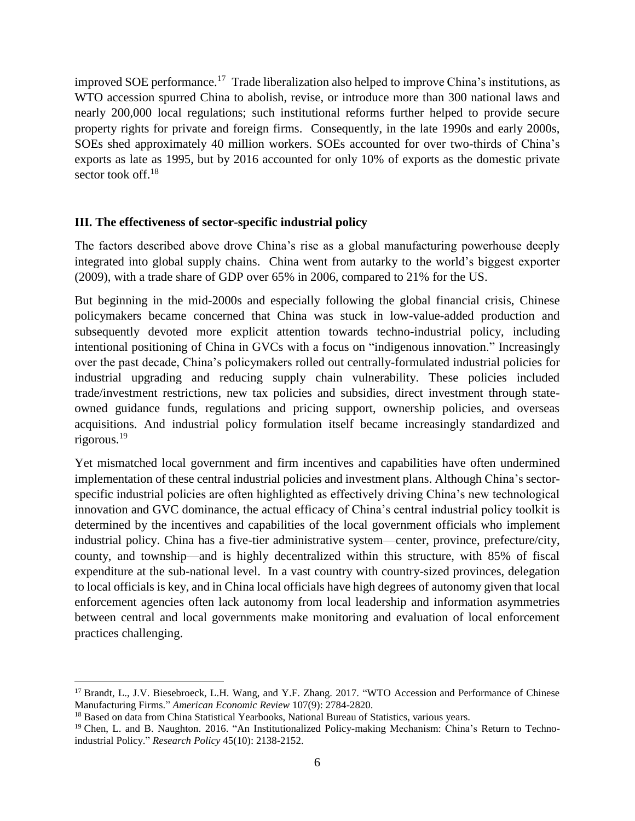improved SOE performance.<sup>17</sup> Trade liberalization also helped to improve China's institutions, as WTO accession spurred China to abolish, revise, or introduce more than 300 national laws and nearly 200,000 local regulations; such institutional reforms further helped to provide secure property rights for private and foreign firms. Consequently, in the late 1990s and early 2000s, SOEs shed approximately 40 million workers. SOEs accounted for over two-thirds of China's exports as late as 1995, but by 2016 accounted for only 10% of exports as the domestic private sector took off.<sup>18</sup>

#### **III. The effectiveness of sector-specific industrial policy**

The factors described above drove China's rise as a global manufacturing powerhouse deeply integrated into global supply chains. China went from autarky to the world's biggest exporter (2009), with a trade share of GDP over 65% in 2006, compared to 21% for the US.

But beginning in the mid-2000s and especially following the global financial crisis, Chinese policymakers became concerned that China was stuck in low-value-added production and subsequently devoted more explicit attention towards techno-industrial policy, including intentional positioning of China in GVCs with a focus on "indigenous innovation." Increasingly over the past decade, China's policymakers rolled out centrally-formulated industrial policies for industrial upgrading and reducing supply chain vulnerability. These policies included trade/investment restrictions, new tax policies and subsidies, direct investment through stateowned guidance funds, regulations and pricing support, ownership policies, and overseas acquisitions. And industrial policy formulation itself became increasingly standardized and rigorous. 19

Yet mismatched local government and firm incentives and capabilities have often undermined implementation of these central industrial policies and investment plans. Although China's sectorspecific industrial policies are often highlighted as effectively driving China's new technological innovation and GVC dominance, the actual efficacy of China's central industrial policy toolkit is determined by the incentives and capabilities of the local government officials who implement industrial policy. China has a five-tier administrative system—center, province, prefecture/city, county, and township—and is highly decentralized within this structure, with 85% of fiscal expenditure at the sub-national level. In a vast country with country-sized provinces, delegation to local officials is key, and in China local officials have high degrees of autonomy given that local enforcement agencies often lack autonomy from local leadership and information asymmetries between central and local governments make monitoring and evaluation of local enforcement practices challenging.

<sup>&</sup>lt;sup>17</sup> Brandt, L., J.V. Biesebroeck, L.H. Wang, and Y.F. Zhang. 2017. "WTO Accession and Performance of Chinese Manufacturing Firms." *American Economic Review* 107(9): 2784-2820.

<sup>&</sup>lt;sup>18</sup> Based on data from China Statistical Yearbooks, National Bureau of Statistics, various years.

<sup>&</sup>lt;sup>19</sup> Chen, L. and B. Naughton. 2016. "An Institutionalized Policy-making Mechanism: China's Return to Technoindustrial Policy." *Research Policy* 45(10): 2138-2152.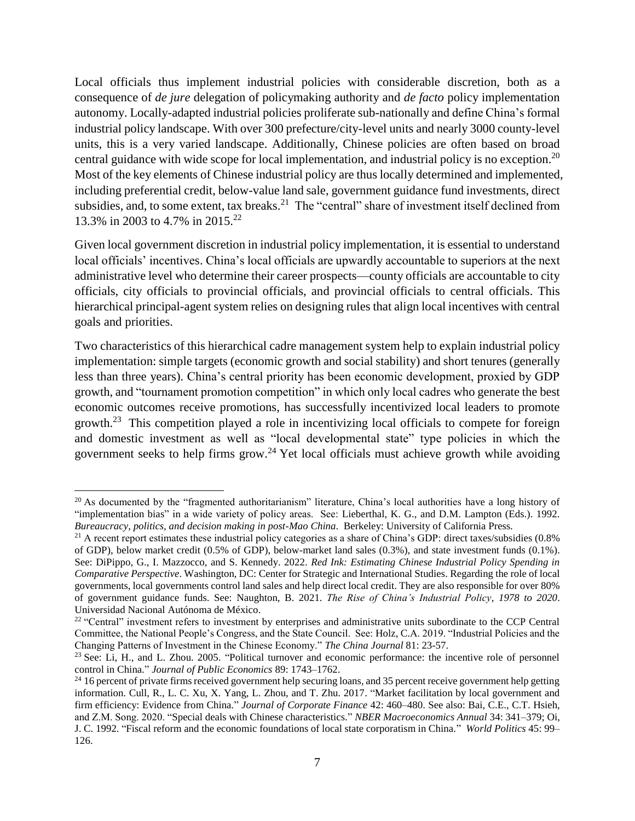Local officials thus implement industrial policies with considerable discretion, both as a consequence of *de jure* delegation of policymaking authority and *de facto* policy implementation autonomy. Locally-adapted industrial policies proliferate sub-nationally and define China's formal industrial policy landscape. With over 300 prefecture/city-level units and nearly 3000 county-level units, this is a very varied landscape. Additionally, Chinese policies are often based on broad central guidance with wide scope for local implementation, and industrial policy is no exception.<sup>20</sup> Most of the key elements of Chinese industrial policy are thus locally determined and implemented, including preferential credit, below-value land sale, government guidance fund investments, direct subsidies, and, to some extent, tax breaks.<sup>21</sup> The "central" share of investment itself declined from 13.3% in 2003 to 4.7% in 2015.<sup>22</sup>

Given local government discretion in industrial policy implementation, it is essential to understand local officials' incentives. China's local officials are upwardly accountable to superiors at the next administrative level who determine their career prospects—county officials are accountable to city officials, city officials to provincial officials, and provincial officials to central officials. This hierarchical principal-agent system relies on designing rules that align local incentives with central goals and priorities.

Two characteristics of this hierarchical cadre management system help to explain industrial policy implementation: simple targets (economic growth and social stability) and short tenures (generally less than three years). China's central priority has been economic development, proxied by GDP growth, and "tournament promotion competition" in which only local cadres who generate the best economic outcomes receive promotions, has successfully incentivized local leaders to promote growth.<sup>23</sup> This competition played a role in incentivizing local officials to compete for foreign and domestic investment as well as "local developmental state" type policies in which the government seeks to help firms grow.<sup>24</sup> Yet local officials must achieve growth while avoiding

<sup>&</sup>lt;sup>20</sup> As documented by the "fragmented authoritarianism" literature, China's local authorities have a long history of "implementation bias" in a wide variety of policy areas. See: Lieberthal, K. G., and D.M. Lampton (Eds.). 1992. *Bureaucracy, politics, and decision making in post-Mao China*. Berkeley: University of California Press.

 $21$  A recent report estimates these industrial policy categories as a share of China's GDP: direct taxes/subsidies  $(0.8\%$ of GDP), below market credit (0.5% of GDP), below-market land sales (0.3%), and state investment funds (0.1%). See: DiPippo, G., I. Mazzocco, and S. Kennedy. 2022. *Red Ink: Estimating Chinese Industrial Policy Spending in Comparative Perspective*. Washington, DC: Center for Strategic and International Studies. Regarding the role of local governments, local governments control land sales and help direct local credit. They are also responsible for over 80% of government guidance funds. See: Naughton, B. 2021. *The Rise of China's Industrial Policy, 1978 to 2020*. Universidad Nacional Autónoma de México.

<sup>&</sup>lt;sup>22</sup> "Central" investment refers to investment by enterprises and administrative units subordinate to the CCP Central Committee, the National People's Congress, and the State Council. See: Holz, C.A. 2019. "Industrial Policies and the Changing Patterns of Investment in the Chinese Economy." *The China Journal* 81: 23-57.

<sup>&</sup>lt;sup>23</sup> See: Li, H., and L. Zhou. 2005. "Political turnover and economic performance: the incentive role of personnel control in China." *Journal of Public Economics* 89: 1743–1762.

<sup>&</sup>lt;sup>24</sup> 16 percent of private firms received government help securing loans, and 35 percent receive government help getting information. Cull, R., L. C. Xu, X. Yang, L. Zhou, and T. Zhu. 2017. "Market facilitation by local government and firm efficiency: Evidence from China." *Journal of Corporate Finance* 42: 460–480. See also: Bai, C.E., C.T. Hsieh, and Z.M. Song. 2020. "Special deals with Chinese characteristics." *NBER Macroeconomics Annual* 34: 341–379; Oi, J. C. 1992. "Fiscal reform and the economic foundations of local state corporatism in China." *World Politics* 45: 99– 126.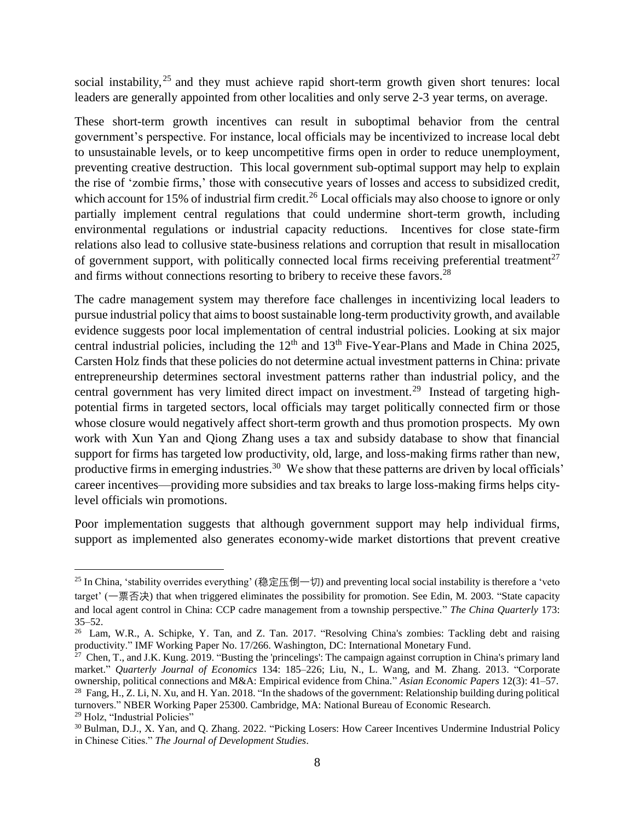social instability,  $25$  and they must achieve rapid short-term growth given short tenures: local leaders are generally appointed from other localities and only serve 2-3 year terms, on average.

These short-term growth incentives can result in suboptimal behavior from the central government's perspective. For instance, local officials may be incentivized to increase local debt to unsustainable levels, or to keep uncompetitive firms open in order to reduce unemployment, preventing creative destruction. This local government sub-optimal support may help to explain the rise of 'zombie firms,' those with consecutive years of losses and access to subsidized credit, which account for 15% of industrial firm credit.<sup>26</sup> Local officials may also choose to ignore or only partially implement central regulations that could undermine short-term growth, including environmental regulations or industrial capacity reductions. Incentives for close state-firm relations also lead to collusive state-business relations and corruption that result in misallocation of government support, with politically connected local firms receiving preferential treatment<sup>27</sup> and firms without connections resorting to bribery to receive these favors.<sup>28</sup>

The cadre management system may therefore face challenges in incentivizing local leaders to pursue industrial policy that aimsto boost sustainable long-term productivity growth, and available evidence suggests poor local implementation of central industrial policies. Looking at six major central industrial policies, including the 12<sup>th</sup> and 13<sup>th</sup> Five-Year-Plans and Made in China 2025, Carsten Holz finds that these policies do not determine actual investment patterns in China: private entrepreneurship determines sectoral investment patterns rather than industrial policy, and the central government has very limited direct impact on investment.<sup>29</sup> Instead of targeting highpotential firms in targeted sectors, local officials may target politically connected firm or those whose closure would negatively affect short-term growth and thus promotion prospects. My own work with Xun Yan and Qiong Zhang uses a tax and subsidy database to show that financial support for firms has targeted low productivity, old, large, and loss-making firms rather than new, productive firms in emerging industries.<sup>30</sup> We show that these patterns are driven by local officials' career incentives—providing more subsidies and tax breaks to large loss-making firms helps citylevel officials win promotions.

Poor implementation suggests that although government support may help individual firms, support as implemented also generates economy-wide market distortions that prevent creative

<sup>&</sup>lt;sup>25</sup> In China, 'stability overrides everything' (稳定压倒一切) and preventing local social instability is therefore a 'veto target' (一票否决) that when triggered eliminates the possibility for promotion. See Edin, M. 2003. "State capacity and local agent control in China: CCP cadre management from a township perspective." *The China Quarterly* 173: 35–52.

<sup>&</sup>lt;sup>26</sup> Lam, W.R., A. Schipke, Y. Tan, and Z. Tan. 2017. "Resolving China's zombies: Tackling debt and raising productivity." IMF Working Paper No. 17/266. Washington, DC: International Monetary Fund.

<sup>&</sup>lt;sup>27</sup> Chen, T., and J.K. Kung. 2019. "Busting the 'princelings': The campaign against corruption in China's primary land market." *Quarterly Journal of Economics* 134: 185–226; Liu, N., L. Wang, and M. Zhang. 2013. "Corporate ownership, political connections and M&A: Empirical evidence from China." *Asian Economic Papers* 12(3): 41–57. <sup>28</sup> Fang, H., Z. Li, N. Xu, and H. Yan. 2018. "In the shadows of the government: Relationship building during political turnovers." NBER Working Paper 25300. Cambridge, MA: National Bureau of Economic Research.

<sup>29</sup> Holz, "Industrial Policies"

<sup>30</sup> Bulman, D.J., X. Yan, and Q. Zhang. 2022. "Picking Losers: How Career Incentives Undermine Industrial Policy in Chinese Cities." *The Journal of Development Studies*.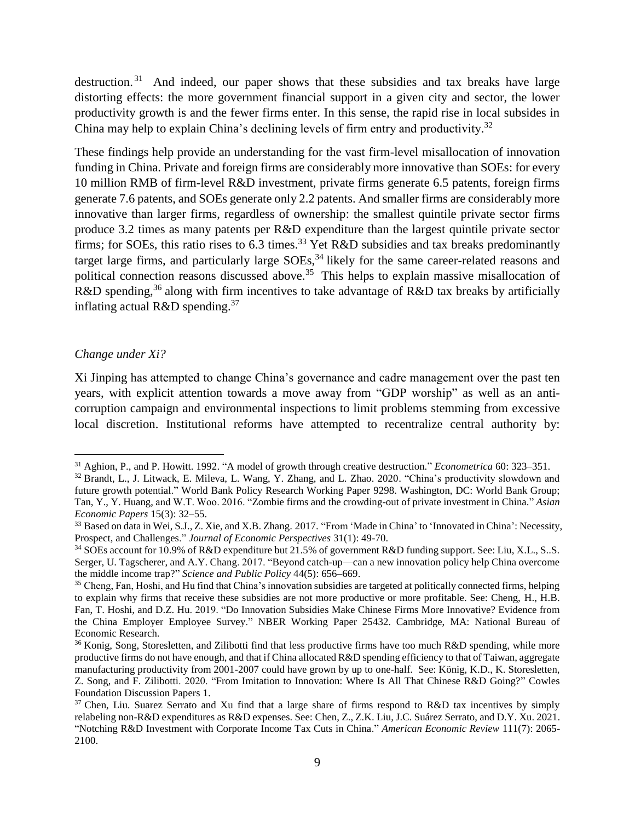destruction.<sup>31</sup> And indeed, our paper shows that these subsidies and tax breaks have large distorting effects: the more government financial support in a given city and sector, the lower productivity growth is and the fewer firms enter. In this sense, the rapid rise in local subsides in China may help to explain China's declining levels of firm entry and productivity.<sup>32</sup>

These findings help provide an understanding for the vast firm-level misallocation of innovation funding in China. Private and foreign firms are considerably more innovative than SOEs: for every 10 million RMB of firm-level R&D investment, private firms generate 6.5 patents, foreign firms generate 7.6 patents, and SOEs generate only 2.2 patents. And smaller firms are considerably more innovative than larger firms, regardless of ownership: the smallest quintile private sector firms produce 3.2 times as many patents per R&D expenditure than the largest quintile private sector firms; for SOEs, this ratio rises to 6.3 times.<sup>33</sup> Yet R&D subsidies and tax breaks predominantly target large firms, and particularly large SOEs,<sup>34</sup> likely for the same career-related reasons and political connection reasons discussed above.<sup>35</sup> This helps to explain massive misallocation of R&D spending,<sup>36</sup> along with firm incentives to take advantage of R&D tax breaks by artificially inflating actual R&D spending.<sup>37</sup>

#### *Change under Xi?*

 $\overline{a}$ 

Xi Jinping has attempted to change China's governance and cadre management over the past ten years, with explicit attention towards a move away from "GDP worship" as well as an anticorruption campaign and environmental inspections to limit problems stemming from excessive local discretion. Institutional reforms have attempted to recentralize central authority by:

<sup>31</sup> Aghion, P., and P. Howitt. 1992. "A model of growth through creative destruction." *Econometrica* 60: 323–351.

<sup>&</sup>lt;sup>32</sup> Brandt, L., J. Litwack, E. Mileva, L. Wang, Y. Zhang, and L. Zhao. 2020. "China's productivity slowdown and future growth potential." World Bank Policy Research Working Paper 9298. Washington, DC: World Bank Group; Tan, Y., Y. Huang, and W.T. Woo. 2016. "Zombie firms and the crowding-out of private investment in China." *Asian Economic Papers* 15(3): 32–55.

<sup>33</sup> Based on data in Wei, S.J., Z. Xie, and X.B. Zhang. 2017. "From 'Made in China' to 'Innovated in China': Necessity, Prospect, and Challenges." *Journal of Economic Perspectives* 31(1): 49-70.

<sup>&</sup>lt;sup>34</sup> SOEs account for 10.9% of R&D expenditure but 21.5% of government R&D funding support. See: Liu, X.L., S..S. Serger, U. Tagscherer, and A.Y. Chang. 2017. "Beyond catch-up—can a new innovation policy help China overcome the middle income trap?" *Science and Public Policy* 44(5): 656–669.

<sup>&</sup>lt;sup>35</sup> Cheng, Fan, Hoshi, and Hu find that China's innovation subsidies are targeted at politically connected firms, helping to explain why firms that receive these subsidies are not more productive or more profitable. See: Cheng, H., H.B. Fan, T. Hoshi, and D.Z. Hu. 2019. "Do Innovation Subsidies Make Chinese Firms More Innovative? Evidence from the China Employer Employee Survey." NBER Working Paper 25432. Cambridge, MA: National Bureau of Economic Research.

<sup>&</sup>lt;sup>36</sup> Konig, Song, Storesletten, and Zilibotti find that less productive firms have too much R&D spending, while more productive firms do not have enough, and that if China allocated R&D spending efficiency to that of Taiwan, aggregate manufacturing productivity from 2001-2007 could have grown by up to one-half. See: König, K.D., K. Storesletten, Z. Song, and F. Zilibotti. 2020. "From Imitation to Innovation: Where Is All That Chinese R&D Going?" Cowles Foundation Discussion Papers 1.

<sup>&</sup>lt;sup>37</sup> Chen, Liu. Suarez Serrato and Xu find that a large share of firms respond to R&D tax incentives by simply relabeling non-R&D expenditures as R&D expenses. See: Chen, Z., Z.K. Liu, J.C. Suárez Serrato, and D.Y. Xu. 2021. "Notching R&D Investment with Corporate Income Tax Cuts in China." *American Economic Review* 111(7): 2065- 2100.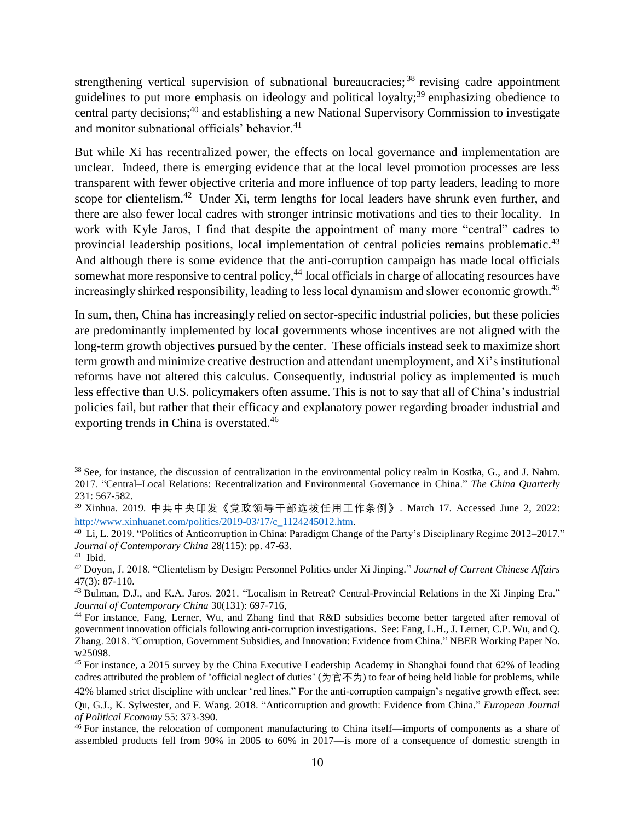strengthening vertical supervision of subnational bureaucracies;<sup>38</sup> revising cadre appointment guidelines to put more emphasis on ideology and political loyalty;<sup>39</sup> emphasizing obedience to central party decisions; <sup>40</sup> and establishing a new National Supervisory Commission to investigate and monitor subnational officials' behavior. $41$ 

But while Xi has recentralized power, the effects on local governance and implementation are unclear. Indeed, there is emerging evidence that at the local level promotion processes are less transparent with fewer objective criteria and more influence of top party leaders, leading to more scope for clientelism.<sup>42</sup> Under Xi, term lengths for local leaders have shrunk even further, and there are also fewer local cadres with stronger intrinsic motivations and ties to their locality. In work with Kyle Jaros, I find that despite the appointment of many more "central" cadres to provincial leadership positions, local implementation of central policies remains problematic.<sup>43</sup> And although there is some evidence that the anti-corruption campaign has made local officials somewhat more responsive to central policy,<sup>44</sup> local officials in charge of allocating resources have increasingly shirked responsibility, leading to less local dynamism and slower economic growth.<sup>45</sup>

In sum, then, China has increasingly relied on sector-specific industrial policies, but these policies are predominantly implemented by local governments whose incentives are not aligned with the long-term growth objectives pursued by the center. These officials instead seek to maximize short term growth and minimize creative destruction and attendant unemployment, and Xi's institutional reforms have not altered this calculus. Consequently, industrial policy as implemented is much less effective than U.S. policymakers often assume. This is not to say that all of China's industrial policies fail, but rather that their efficacy and explanatory power regarding broader industrial and exporting trends in China is overstated.<sup>46</sup>

<sup>&</sup>lt;sup>38</sup> See, for instance, the discussion of centralization in the environmental policy realm in Kostka, G., and J. Nahm. 2017. "Central–Local Relations: Recentralization and Environmental Governance in China." *The China Quarterly* 231: 567-582.

<sup>39</sup> Xinhua. 2019. 中共中央印发《党政领导干部选拔任用工作条例》. March 17. Accessed June 2, 2022: [http://www.xinhuanet.com/politics/2019-03/17/c\\_1124245012.htm.](http://www.xinhuanet.com/politics/2019-03/17/c_1124245012.htm)

<sup>40</sup> Li, L. 2019. "Politics of Anticorruption in China: Paradigm Change of the Party's Disciplinary Regime 2012–2017." *Journal of Contemporary China* 28(115): pp. 47-63.

<sup>41</sup> Ibid.

<sup>42</sup> Doyon, J. 2018. "Clientelism by Design: Personnel Politics under Xi Jinping." *Journal of Current Chinese Affairs* 47(3): 87-110.

<sup>&</sup>lt;sup>43</sup> Bulman, D.J., and K.A. Jaros. 2021. "Localism in Retreat? Central-Provincial Relations in the Xi Jinping Era." *Journal of Contemporary China* 30(131): 697-716,

<sup>44</sup> For instance, Fang, Lerner, Wu, and Zhang find that R&D subsidies become better targeted after removal of government innovation officials following anti-corruption investigations. See: Fang, L.H., J. Lerner, C.P. Wu, and Q. Zhang. 2018. "Corruption, Government Subsidies, and Innovation: Evidence from China." NBER Working Paper No. w25098.

<sup>&</sup>lt;sup>45</sup> For instance, a 2015 survey by the China Executive Leadership Academy in Shanghai found that 62% of leading cadres attributed the problem of "official neglect of duties" (为官不为) to fear of being held liable for problems, while 42% blamed strict discipline with unclear "red lines." For the anti-corruption campaign's negative growth effect, see: Qu, G.J., K. Sylwester, and F. Wang. 2018. "Anticorruption and growth: Evidence from China." *European Journal of Political Economy* 55: 373-390.

<sup>&</sup>lt;sup>46</sup> For instance, the relocation of component manufacturing to China itself—imports of components as a share of assembled products fell from 90% in 2005 to 60% in 2017—is more of a consequence of domestic strength in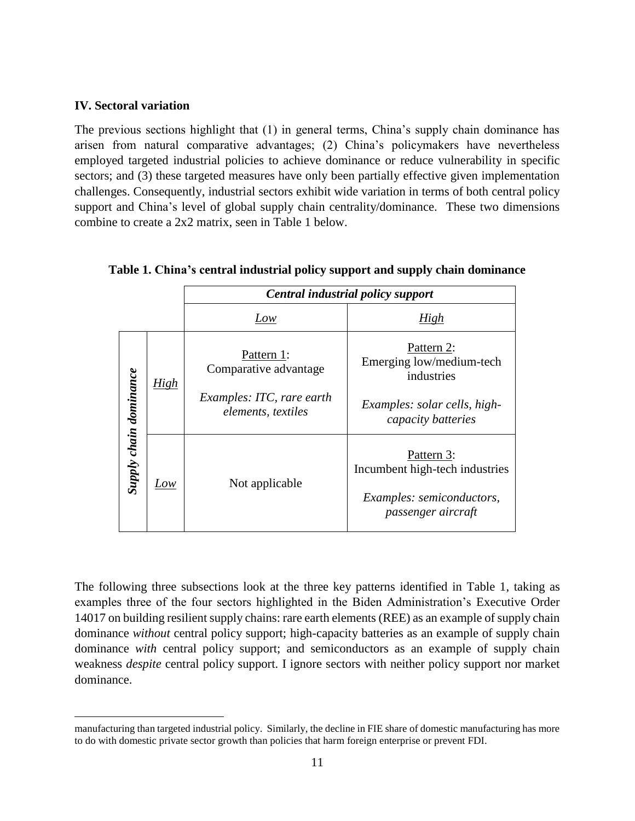#### **IV. Sectoral variation**

 $\overline{a}$ 

The previous sections highlight that (1) in general terms, China's supply chain dominance has arisen from natural comparative advantages; (2) China's policymakers have nevertheless employed targeted industrial policies to achieve dominance or reduce vulnerability in specific sectors; and (3) these targeted measures have only been partially effective given implementation challenges. Consequently, industrial sectors exhibit wide variation in terms of both central policy support and China's level of global supply chain centrality/dominance. These two dimensions combine to create a 2x2 matrix, seen in Table 1 below.

|                               |      | Central industrial policy support                                                      |                                                                                                            |
|-------------------------------|------|----------------------------------------------------------------------------------------|------------------------------------------------------------------------------------------------------------|
|                               |      | Low                                                                                    | High                                                                                                       |
| <b>Supply chain dominance</b> | High | Pattern 1:<br>Comparative advantage<br>Examples: ITC, rare earth<br>elements, textiles | Pattern 2:<br>Emerging low/medium-tech<br>industries<br>Examples: solar cells, high-<br>capacity batteries |
|                               | Low  | Not applicable                                                                         | Pattern 3:<br>Incumbent high-tech industries<br>Examples: semiconductors,<br>passenger aircraft            |

#### **Table 1. China's central industrial policy support and supply chain dominance**

The following three subsections look at the three key patterns identified in Table 1, taking as examples three of the four sectors highlighted in the Biden Administration's Executive Order 14017 on building resilient supply chains: rare earth elements (REE) as an example of supply chain dominance *without* central policy support; high-capacity batteries as an example of supply chain dominance *with* central policy support; and semiconductors as an example of supply chain weakness *despite* central policy support. I ignore sectors with neither policy support nor market dominance.

manufacturing than targeted industrial policy. Similarly, the decline in FIE share of domestic manufacturing has more to do with domestic private sector growth than policies that harm foreign enterprise or prevent FDI.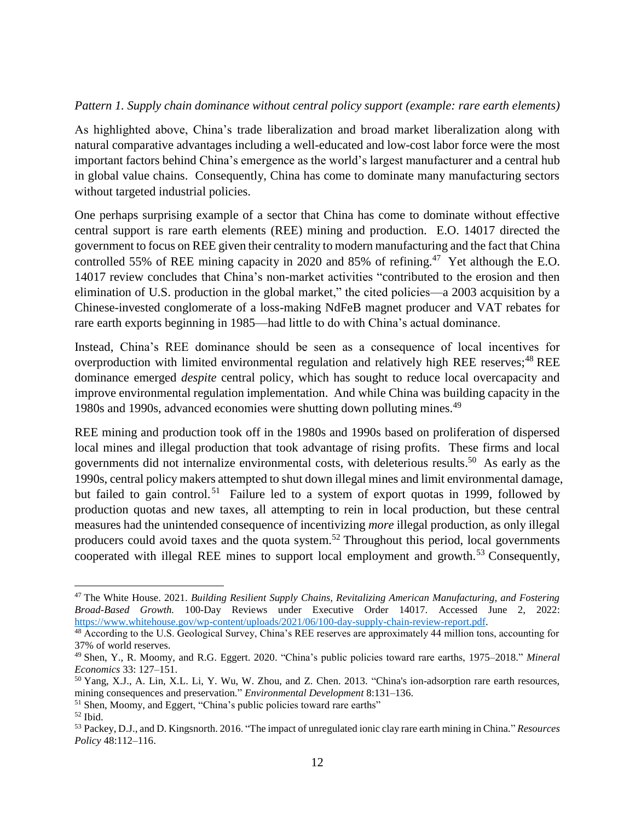#### *Pattern 1. Supply chain dominance without central policy support (example: rare earth elements)*

As highlighted above, China's trade liberalization and broad market liberalization along with natural comparative advantages including a well-educated and low-cost labor force were the most important factors behind China's emergence as the world's largest manufacturer and a central hub in global value chains. Consequently, China has come to dominate many manufacturing sectors without targeted industrial policies.

One perhaps surprising example of a sector that China has come to dominate without effective central support is rare earth elements (REE) mining and production. E.O. 14017 directed the government to focus on REE given their centrality to modern manufacturing and the fact that China controlled 55% of REE mining capacity in 2020 and 85% of refining.<sup>47</sup> Yet although the E.O. 14017 review concludes that China's non-market activities "contributed to the erosion and then elimination of U.S. production in the global market," the cited policies—a 2003 acquisition by a Chinese-invested conglomerate of a loss-making NdFeB magnet producer and VAT rebates for rare earth exports beginning in 1985—had little to do with China's actual dominance.

Instead, China's REE dominance should be seen as a consequence of local incentives for overproduction with limited environmental regulation and relatively high REE reserves;<sup>48</sup> REE dominance emerged *despite* central policy, which has sought to reduce local overcapacity and improve environmental regulation implementation. And while China was building capacity in the 1980s and 1990s, advanced economies were shutting down polluting mines. 49

REE mining and production took off in the 1980s and 1990s based on proliferation of dispersed local mines and illegal production that took advantage of rising profits. These firms and local governments did not internalize environmental costs, with deleterious results.<sup>50</sup> As early as the 1990s, central policy makers attempted to shut down illegal mines and limit environmental damage, but failed to gain control.<sup>51</sup> Failure led to a system of export quotas in 1999, followed by production quotas and new taxes, all attempting to rein in local production, but these central measures had the unintended consequence of incentivizing *more* illegal production, as only illegal producers could avoid taxes and the quota system.<sup>52</sup> Throughout this period, local governments cooperated with illegal REE mines to support local employment and growth.<sup>53</sup> Consequently,

<sup>47</sup> The White House. 2021. *Building Resilient Supply Chains, Revitalizing American Manufacturing, and Fostering Broad-Based Growth.* 100-Day Reviews under Executive Order 14017. Accessed June 2, 2022: [https://www.whitehouse.gov/wp-content/uploads/2021/06/100-day-supply-chain-review-report.pdf.](https://www.whitehouse.gov/wp-content/uploads/2021/06/100-day-supply-chain-review-report.pdf)

<sup>48</sup> According to the U.S. Geological Survey, China's REE reserves are approximately 44 million tons, accounting for 37% of world reserves.

<sup>49</sup> Shen, Y., R. Moomy, and R.G. Eggert. 2020. "China's public policies toward rare earths, 1975–2018." *Mineral Economics* 33: 127–151.

<sup>50</sup> Yang, X.J., A. Lin, X.L. Li, Y. Wu, W. Zhou, and Z. Chen. 2013. "China's ion-adsorption rare earth resources, mining consequences and preservation." *Environmental Development* 8:131–136.

<sup>&</sup>lt;sup>51</sup> Shen, Moomy, and Eggert, "China's public policies toward rare earths"

<sup>52</sup> Ibid.

<sup>53</sup> Packey, D.J., and D. Kingsnorth. 2016. "The impact of unregulated ionic clay rare earth mining in China." *Resources Policy* 48:112–116.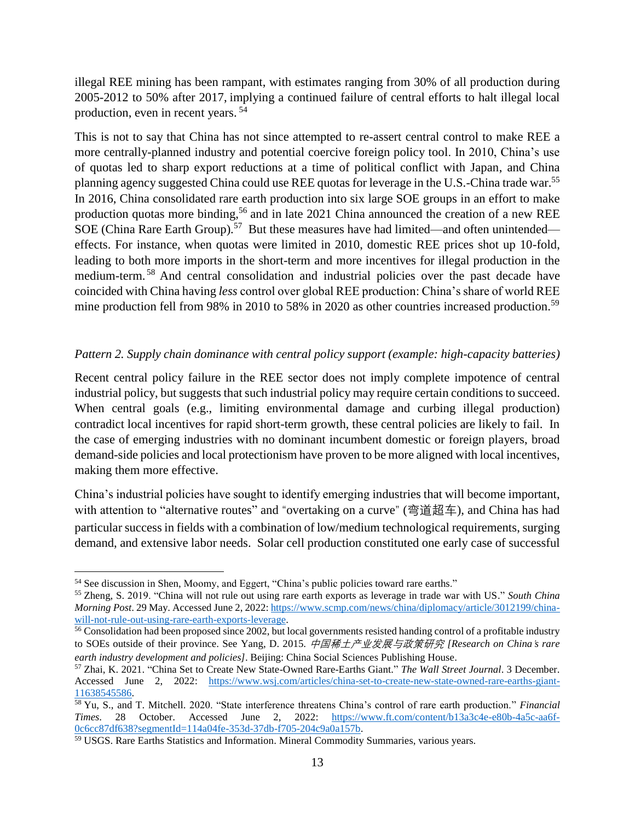illegal REE mining has been rampant, with estimates ranging from 30% of all production during 2005-2012 to 50% after 2017, implying a continued failure of central efforts to halt illegal local production, even in recent years. 54

This is not to say that China has not since attempted to re-assert central control to make REE a more centrally-planned industry and potential coercive foreign policy tool. In 2010, China's use of quotas led to sharp export reductions at a time of political conflict with Japan, and China planning agency suggested China could use REE quotas for leverage in the U.S.-China trade war.<sup>55</sup> In 2016, China consolidated rare earth production into six large SOE groups in an effort to make production quotas more binding,<sup>56</sup> and in late 2021 China announced the creation of a new REE SOE (China Rare Earth Group).<sup>57</sup> But these measures have had limited—and often unintended effects. For instance, when quotas were limited in 2010, domestic REE prices shot up 10-fold, leading to both more imports in the short-term and more incentives for illegal production in the medium-term. <sup>58</sup> And central consolidation and industrial policies over the past decade have coincided with China having *less* control over global REE production: China's share of world REE mine production fell from 98% in 2010 to 58% in 2020 as other countries increased production.<sup>59</sup>

## *Pattern 2. Supply chain dominance with central policy support (example: high-capacity batteries)*

Recent central policy failure in the REE sector does not imply complete impotence of central industrial policy, but suggests that such industrial policy may require certain conditions to succeed. When central goals (e.g., limiting environmental damage and curbing illegal production) contradict local incentives for rapid short-term growth, these central policies are likely to fail. In the case of emerging industries with no dominant incumbent domestic or foreign players, broad demand-side policies and local protectionism have proven to be more aligned with local incentives, making them more effective.

China's industrial policies have sought to identify emerging industries that will become important, with attention to "alternative routes" and "overtaking on a curve" (弯道超车), and China has had particular success in fields with a combination of low/medium technological requirements, surging demand, and extensive labor needs. Solar cell production constituted one early case of successful

<sup>54</sup> See discussion in Shen, Moomy, and Eggert, "China's public policies toward rare earths."

<sup>55</sup> Zheng, S. 2019. "China will not rule out using rare earth exports as leverage in trade war with US." *South China Morning Post.* 29 May. Accessed June 2, 2022: [https://www.scmp.com/news/china/diplomacy/article/3012199/china](https://www.scmp.com/news/china/diplomacy/article/3012199/china-will-not-rule-out-using-rare-earth-exports-leverage)[will-not-rule-out-using-rare-earth-exports-leverage.](https://www.scmp.com/news/china/diplomacy/article/3012199/china-will-not-rule-out-using-rare-earth-exports-leverage)

<sup>56</sup> Consolidation had been proposed since 2002, but local governments resisted handing control of a profitable industry to SOEs outside of their province. See Yang, D. 2015. 中国稀土产业发展与政策研究 *[Research on China*'*s rare earth industry development and policies]*. Beijing: China Social Sciences Publishing House.

<sup>57</sup> Zhai, K. 2021. "China Set to Create New State-Owned Rare-Earths Giant." *The Wall Street Journal*. 3 December. Accessed June 2, 2022: [https://www.wsj.com/articles/china-set-to-create-new-state-owned-rare-earths-giant-](https://www.wsj.com/articles/china-set-to-create-new-state-owned-rare-earths-giant-11638545586)[11638545586.](https://www.wsj.com/articles/china-set-to-create-new-state-owned-rare-earths-giant-11638545586)

<sup>58</sup> Yu, S., and T. Mitchell. 2020. "State interference threatens China's control of rare earth production." *Financial Times*. 28 October. Accessed June 2, 2022: [https://www.ft.com/content/b13a3c4e-e80b-4a5c-aa6f-](https://www.ft.com/content/b13a3c4e-e80b-4a5c-aa6f-0c6cc87df638?segmentId=114a04fe-353d-37db-f705-204c9a0a157b)[0c6cc87df638?segmentId=114a04fe-353d-37db-f705-204c9a0a157b.](https://www.ft.com/content/b13a3c4e-e80b-4a5c-aa6f-0c6cc87df638?segmentId=114a04fe-353d-37db-f705-204c9a0a157b)

<sup>59</sup> USGS. Rare Earths Statistics and Information. Mineral Commodity Summaries, various years.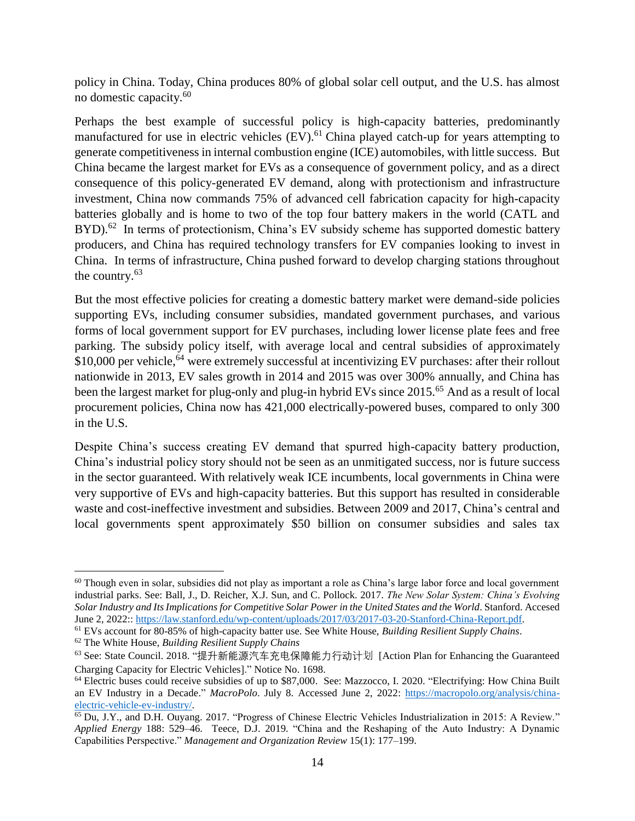policy in China. Today, China produces 80% of global solar cell output, and the U.S. has almost no domestic capacity.<sup>60</sup>

Perhaps the best example of successful policy is high-capacity batteries, predominantly manufactured for use in electric vehicles (EV).<sup>61</sup> China played catch-up for years attempting to generate competitiveness in internal combustion engine (ICE) automobiles, with little success. But China became the largest market for EVs as a consequence of government policy, and as a direct consequence of this policy-generated EV demand, along with protectionism and infrastructure investment, China now commands 75% of advanced cell fabrication capacity for high-capacity batteries globally and is home to two of the top four battery makers in the world (CATL and  $BYD$ ).<sup>62</sup> In terms of protectionism, China's EV subsidy scheme has supported domestic battery producers, and China has required technology transfers for EV companies looking to invest in China. In terms of infrastructure, China pushed forward to develop charging stations throughout the country.<sup>63</sup>

But the most effective policies for creating a domestic battery market were demand-side policies supporting EVs, including consumer subsidies, mandated government purchases, and various forms of local government support for EV purchases, including lower license plate fees and free parking. The subsidy policy itself, with average local and central subsidies of approximately  $$10,000$  per vehicle,<sup>64</sup> were extremely successful at incentivizing EV purchases: after their rollout nationwide in 2013, EV sales growth in 2014 and 2015 was over 300% annually, and China has been the largest market for plug-only and plug-in hybrid EVs since 2015.<sup>65</sup> And as a result of local procurement policies, China now has 421,000 electrically-powered buses, compared to only 300 in the U.S.

Despite China's success creating EV demand that spurred high-capacity battery production, China's industrial policy story should not be seen as an unmitigated success, nor is future success in the sector guaranteed. With relatively weak ICE incumbents, local governments in China were very supportive of EVs and high-capacity batteries. But this support has resulted in considerable waste and cost-ineffective investment and subsidies. Between 2009 and 2017, China's central and local governments spent approximately \$50 billion on consumer subsidies and sales tax

<sup>62</sup> The White House, *Building Resilient Supply Chains*

 $60$  Though even in solar, subsidies did not play as important a role as China's large labor force and local government industrial parks. See: Ball, J., D. Reicher, X.J. Sun, and C. Pollock. 2017. *The New Solar System: China's Evolving Solar Industry and Its Implications for Competitive Solar Power in the United States and the World*. Stanford. Accesed June 2, 2022:: [https://law.stanford.edu/wp-content/uploads/2017/03/2017-03-20-Stanford-China-Report.pdf.](https://law.stanford.edu/wp-content/uploads/2017/03/2017-03-20-Stanford-China-Report.pdf)

<sup>61</sup> EVs account for 80-85% of high-capacity batter use. See White House, *Building Resilient Supply Chains*.

<sup>63</sup> See: State Council. 2018. "提升新能源汽车充电保障能力行动计划 [Action Plan for Enhancing the Guaranteed Charging Capacity for Electric Vehicles]." Notice No. 1698.

<sup>64</sup> Electric buses could receive subsidies of up to \$87,000. See: Mazzocco, I. 2020. "Electrifying: How China Built an EV Industry in a Decade." *MacroPolo*. July 8. Accessed June 2, 2022: [https://macropolo.org/analysis/china](https://macropolo.org/analysis/china-electric-vehicle-ev-industry/)[electric-vehicle-ev-industry/.](https://macropolo.org/analysis/china-electric-vehicle-ev-industry/) 

<sup>&</sup>lt;sup>65</sup> Du, J.Y., and D.H. Ouyang. 2017. "Progress of Chinese Electric Vehicles Industrialization in 2015: A Review." *Applied Energy* 188: 529–46. Teece, D.J. 2019. "China and the Reshaping of the Auto Industry: A Dynamic Capabilities Perspective." *Management and Organization Review* 15(1): 177–199.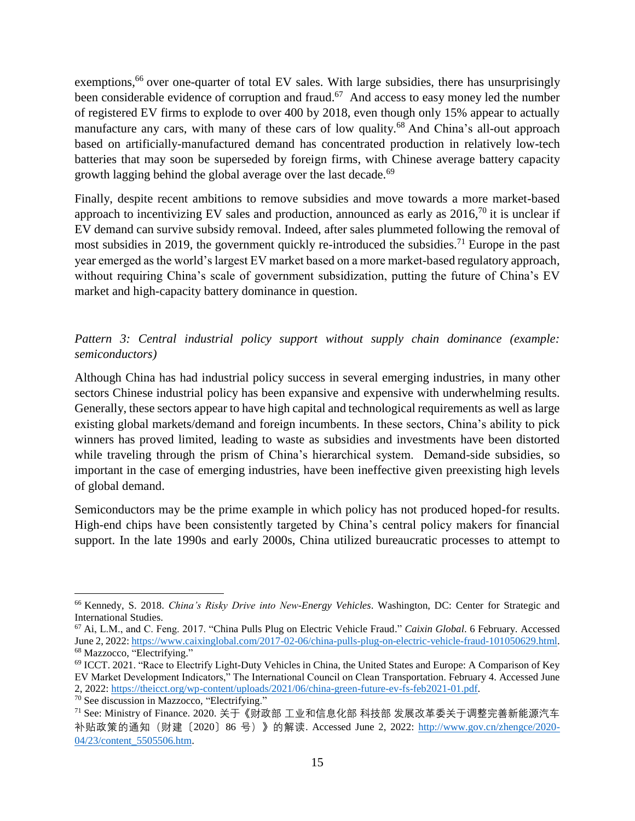exemptions,<sup>66</sup> over one-quarter of total EV sales. With large subsidies, there has unsurprisingly been considerable evidence of corruption and fraud.<sup>67</sup> And access to easy money led the number of registered EV firms to explode to over 400 by 2018, even though only 15% appear to actually manufacture any cars, with many of these cars of low quality.<sup>68</sup> And China's all-out approach based on artificially-manufactured demand has concentrated production in relatively low-tech batteries that may soon be superseded by foreign firms, with Chinese average battery capacity growth lagging behind the global average over the last decade. 69

Finally, despite recent ambitions to remove subsidies and move towards a more market-based approach to incentivizing EV sales and production, announced as early as  $2016$ ,<sup>70</sup> it is unclear if EV demand can survive subsidy removal. Indeed, after sales plummeted following the removal of most subsidies in 2019, the government quickly re-introduced the subsidies.<sup>71</sup> Europe in the past year emerged as the world's largest EV market based on a more market-based regulatory approach, without requiring China's scale of government subsidization, putting the future of China's EV market and high-capacity battery dominance in question.

*Pattern 3: Central industrial policy support without supply chain dominance (example: semiconductors)*

Although China has had industrial policy success in several emerging industries, in many other sectors Chinese industrial policy has been expansive and expensive with underwhelming results. Generally, these sectors appear to have high capital and technological requirements as well as large existing global markets/demand and foreign incumbents. In these sectors, China's ability to pick winners has proved limited, leading to waste as subsidies and investments have been distorted while traveling through the prism of China's hierarchical system. Demand-side subsidies, so important in the case of emerging industries, have been ineffective given preexisting high levels of global demand.

Semiconductors may be the prime example in which policy has not produced hoped-for results. High-end chips have been consistently targeted by China's central policy makers for financial support. In the late 1990s and early 2000s, China utilized bureaucratic processes to attempt to

<sup>66</sup> Kennedy, S. 2018. *China's Risky Drive into New-Energy Vehicles*. Washington, DC: Center for Strategic and International Studies.

<sup>67</sup> Ai, L.M., and C. Feng. 2017. "China Pulls Plug on Electric Vehicle Fraud." *Caixin Global*. 6 February. Accessed June 2, 2022: [https://www.caixinglobal.com/2017-02-06/china-pulls-plug-on-electric-vehicle-fraud-101050629.html.](https://www.caixinglobal.com/2017-02-06/china-pulls-plug-on-electric-vehicle-fraud-101050629.html) <sup>68</sup> Mazzocco, "Electrifying."

<sup>&</sup>lt;sup>69</sup> ICCT. 2021. "Race to Electrify Light-Duty Vehicles in China, the United States and Europe: A Comparison of Key EV Market Development Indicators," The International Council on Clean Transportation. February 4. Accessed June 2, 2022: [https://theicct.org/wp-content/uploads/2021/06/china-green-future-ev-fs-feb2021-01.pdf.](https://theicct.org/wp-content/uploads/2021/06/china-green-future-ev-fs-feb2021-01.pdf)

<sup>70</sup> See discussion in Mazzocco, "Electrifying."

<sup>71</sup> See: Ministry of Finance. 2020. 关于《财政部 工业和信息化部 科技部 发展改革委关于调整完善新能源汽车 补贴政策的通知(财建〔2020〕86 号)》的解读. Accessed June 2, 2022: [http://www.gov.cn/zhengce/2020-](http://www.gov.cn/zhengce/2020-04/23/content_5505506.htm) [04/23/content\\_5505506.htm.](http://www.gov.cn/zhengce/2020-04/23/content_5505506.htm)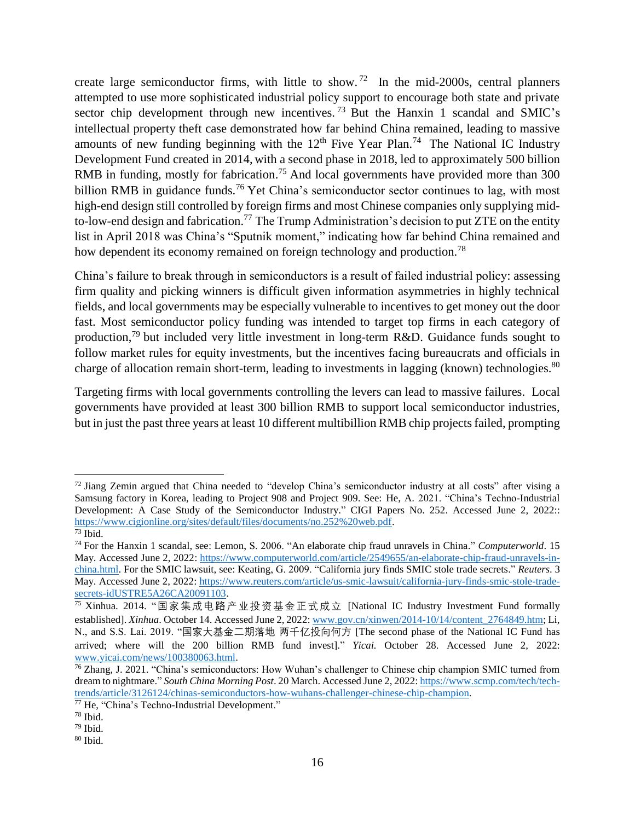create large semiconductor firms, with little to show.<sup>72</sup> In the mid-2000s, central planners attempted to use more sophisticated industrial policy support to encourage both state and private sector chip development through new incentives.<sup>73</sup> But the Hanxin 1 scandal and SMIC's intellectual property theft case demonstrated how far behind China remained, leading to massive amounts of new funding beginning with the  $12<sup>th</sup>$  Five Year Plan.<sup>74</sup> The National IC Industry Development Fund created in 2014, with a second phase in 2018, led to approximately 500 billion RMB in funding, mostly for fabrication.<sup>75</sup> And local governments have provided more than 300 billion RMB in guidance funds.<sup>76</sup> Yet China's semiconductor sector continues to lag, with most high-end design still controlled by foreign firms and most Chinese companies only supplying midto-low-end design and fabrication.<sup>77</sup> The Trump Administration's decision to put ZTE on the entity list in April 2018 was China's "Sputnik moment," indicating how far behind China remained and how dependent its economy remained on foreign technology and production.<sup>78</sup>

China's failure to break through in semiconductors is a result of failed industrial policy: assessing firm quality and picking winners is difficult given information asymmetries in highly technical fields, and local governments may be especially vulnerable to incentives to get money out the door fast. Most semiconductor policy funding was intended to target top firms in each category of production,<sup>79</sup> but included very little investment in long-term R&D. Guidance funds sought to follow market rules for equity investments, but the incentives facing bureaucrats and officials in charge of allocation remain short-term, leading to investments in lagging (known) technologies.<sup>80</sup>

Targeting firms with local governments controlling the levers can lead to massive failures. Local governments have provided at least 300 billion RMB to support local semiconductor industries, but in just the past three years at least 10 different multibillion RMB chip projects failed, prompting

<sup>&</sup>lt;sup>72</sup> Jiang Zemin argued that China needed to "develop China's semiconductor industry at all costs" after vising a Samsung factory in Korea, leading to Project 908 and Project 909. See: He, A. 2021. "China's Techno-Industrial Development: A Case Study of the Semiconductor Industry." CIGI Papers No. 252. Accessed June 2, 2022:: [https://www.cigionline.org/sites/default/files/documents/no.252%20web.pdf.](https://www.cigionline.org/sites/default/files/documents/no.252%20web.pdf)

 $73$  Ibid.

<sup>74</sup> For the Hanxin 1 scandal, see: Lemon, S. 2006. "An elaborate chip fraud unravels in China." *Computerworld*. 15 May. Accessed June 2, 2022: [https://www.computerworld.com/article/2549655/an-elaborate-chip-fraud-unravels-in](https://www.computerworld.com/article/2549655/an-elaborate-chip-fraud-unravels-in-china.html)[china.html.](https://www.computerworld.com/article/2549655/an-elaborate-chip-fraud-unravels-in-china.html) For the SMIC lawsuit, see: Keating, G. 2009. "California jury finds SMIC stole trade secrets." *Reuters*. 3 May. Accessed June 2, 2022: [https://www.reuters.com/article/us-smic-lawsuit/california-jury-finds-smic-stole-trade](https://www.reuters.com/article/us-smic-lawsuit/california-jury-finds-smic-stole-trade-secrets-idUSTRE5A26CA20091103)[secrets-idUSTRE5A26CA20091103.](https://www.reuters.com/article/us-smic-lawsuit/california-jury-finds-smic-stole-trade-secrets-idUSTRE5A26CA20091103)

<sup>75</sup> Xinhua. 2014. "国家集成电路产业投资基金正式成立 [National IC Industry Investment Fund formally established]. *Xinhua*. October 14. Accessed June 2, 2022: [www.gov.cn/xinwen/2014-10/14/content\\_2764849.htm;](http://www.gov.cn/xinwen/2014-10/14/content_2764849.htm) Li, N., and S.S. Lai. 2019. "国家大基金二期落地 两千亿投向何方 [The second phase of the National IC Fund has arrived; where will the 200 billion RMB fund invest]." *Yicai.* October 28. Accessed June 2, 2022: [www.yicai.com/news/100380063.html.](http://www.yicai.com/news/100380063.html) 

<sup>76</sup> Zhang, J. 2021. "China's semiconductors: How Wuhan's challenger to Chinese chip champion SMIC turned from dream to nightmare." *South China Morning Post*. 20 March. Accessed June 2, 2022: [https://www.scmp.com/tech/tech](https://www.scmp.com/tech/tech-trends/article/3126124/chinas-semiconductors-how-wuhans-challenger-chinese-chip-champion)[trends/article/3126124/chinas-semiconductors-how-wuhans-challenger-chinese-chip-champion.](https://www.scmp.com/tech/tech-trends/article/3126124/chinas-semiconductors-how-wuhans-challenger-chinese-chip-champion) 

<sup>77</sup> He, "China's Techno-Industrial Development."

 $78$  Ibid.

<sup>79</sup> Ibid.

<sup>80</sup> Ibid.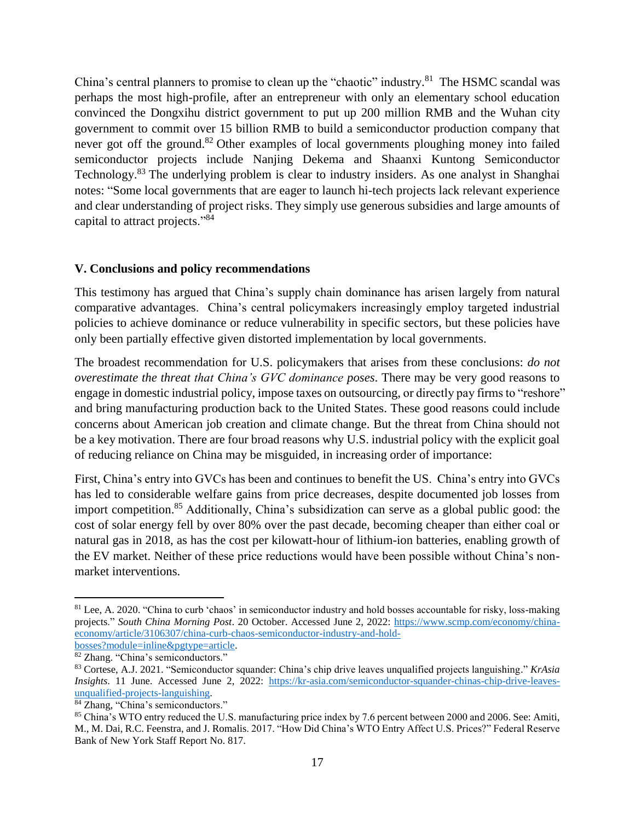China's central planners to promise to clean up the "chaotic" industry.<sup>81</sup> The HSMC scandal was perhaps the most high-profile, after an entrepreneur with only an elementary school education convinced the Dongxihu district government to put up 200 million RMB and the Wuhan city government to commit over 15 billion RMB to build a semiconductor production company that never got off the ground.<sup>82</sup> Other examples of local governments ploughing money into failed semiconductor projects include Nanjing Dekema and Shaanxi Kuntong Semiconductor Technology.<sup>83</sup> The underlying problem is clear to industry insiders. As one analyst in Shanghai notes: "Some local governments that are eager to launch hi-tech projects lack relevant experience and clear understanding of project risks. They simply use generous subsidies and large amounts of capital to attract projects."<sup>84</sup>

#### **V. Conclusions and policy recommendations**

This testimony has argued that China's supply chain dominance has arisen largely from natural comparative advantages. China's central policymakers increasingly employ targeted industrial policies to achieve dominance or reduce vulnerability in specific sectors, but these policies have only been partially effective given distorted implementation by local governments.

The broadest recommendation for U.S. policymakers that arises from these conclusions: *do not overestimate the threat that China's GVC dominance poses*. There may be very good reasons to engage in domestic industrial policy, impose taxes on outsourcing, or directly pay firms to "reshore" and bring manufacturing production back to the United States. These good reasons could include concerns about American job creation and climate change. But the threat from China should not be a key motivation. There are four broad reasons why U.S. industrial policy with the explicit goal of reducing reliance on China may be misguided, in increasing order of importance:

First, China's entry into GVCs has been and continues to benefit the US. China's entry into GVCs has led to considerable welfare gains from price decreases, despite documented job losses from import competition. <sup>85</sup> Additionally, China's subsidization can serve as a global public good: the cost of solar energy fell by over 80% over the past decade, becoming cheaper than either coal or natural gas in 2018, as has the cost per kilowatt-hour of lithium-ion batteries, enabling growth of the EV market. Neither of these price reductions would have been possible without China's nonmarket interventions.

<sup>&</sup>lt;sup>81</sup> Lee, A. 2020. "China to curb 'chaos' in semiconductor industry and hold bosses accountable for risky, loss-making projects." *South China Morning Post*. 20 October. Accessed June 2, 2022: [https://www.scmp.com/economy/china](https://www.scmp.com/economy/china-economy/article/3106307/china-curb-chaos-semiconductor-industry-and-hold-bosses?module=inline&pgtype=article)[economy/article/3106307/china-curb-chaos-semiconductor-industry-and-hold](https://www.scmp.com/economy/china-economy/article/3106307/china-curb-chaos-semiconductor-industry-and-hold-bosses?module=inline&pgtype=article)[bosses?module=inline&pgtype=article.](https://www.scmp.com/economy/china-economy/article/3106307/china-curb-chaos-semiconductor-industry-and-hold-bosses?module=inline&pgtype=article)

<sup>82</sup> Zhang. "China's semiconductors."

<sup>83</sup> Cortese, A.J. 2021. "Semiconductor squander: China's chip drive leaves unqualified projects languishing." *KrAsia Insights*. 11 June. Accessed June 2, 2022: [https://kr-asia.com/semiconductor-squander-chinas-chip-drive-leaves](https://kr-asia.com/semiconductor-squander-chinas-chip-drive-leaves-unqualified-projects-languishing)[unqualified-projects-languishing.](https://kr-asia.com/semiconductor-squander-chinas-chip-drive-leaves-unqualified-projects-languishing) 

<sup>&</sup>lt;sup>84</sup> Zhang, "China's semiconductors."

<sup>85</sup> China's WTO entry reduced the U.S. manufacturing price index by 7.6 percent between 2000 and 2006. See: Amiti, M., M. Dai, R.C. Feenstra, and J. Romalis. 2017. "How Did China's WTO Entry Affect U.S. Prices?" Federal Reserve Bank of New York Staff Report No. 817.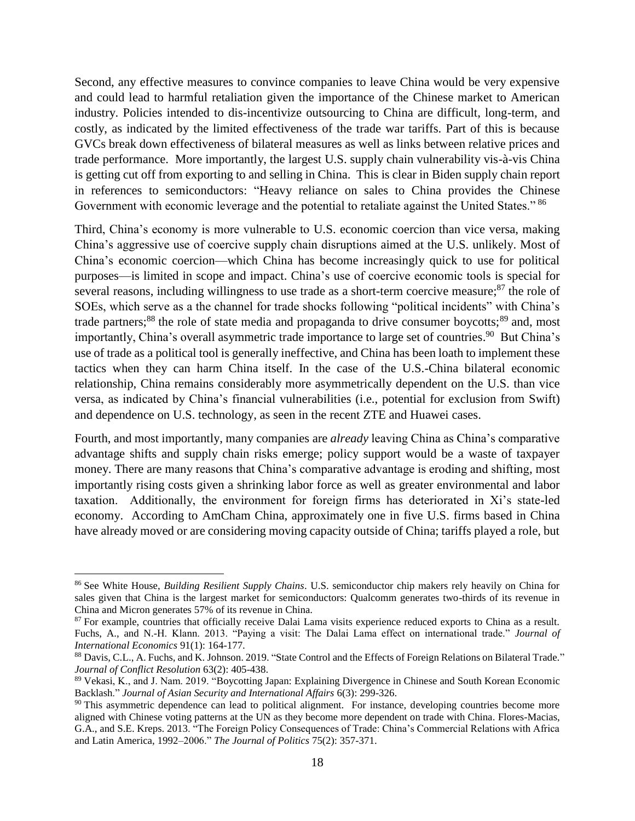Second, any effective measures to convince companies to leave China would be very expensive and could lead to harmful retaliation given the importance of the Chinese market to American industry. Policies intended to dis-incentivize outsourcing to China are difficult, long-term, and costly, as indicated by the limited effectiveness of the trade war tariffs. Part of this is because GVCs break down effectiveness of bilateral measures as well as links between relative prices and trade performance. More importantly, the largest U.S. supply chain vulnerability vis-à-vis China is getting cut off from exporting to and selling in China. This is clear in Biden supply chain report in references to semiconductors: "Heavy reliance on sales to China provides the Chinese Government with economic leverage and the potential to retaliate against the United States." <sup>86</sup>

Third, China's economy is more vulnerable to U.S. economic coercion than vice versa, making China's aggressive use of coercive supply chain disruptions aimed at the U.S. unlikely. Most of China's economic coercion—which China has become increasingly quick to use for political purposes—is limited in scope and impact. China's use of coercive economic tools is special for several reasons, including willingness to use trade as a short-term coercive measure;<sup>87</sup> the role of SOEs, which serve as a the channel for trade shocks following "political incidents" with China's trade partners;<sup>88</sup> the role of state media and propaganda to drive consumer boycotts;<sup>89</sup> and, most importantly, China's overall asymmetric trade importance to large set of countries.<sup>90</sup> But China's use of trade as a political tool is generally ineffective, and China has been loath to implement these tactics when they can harm China itself. In the case of the U.S.-China bilateral economic relationship, China remains considerably more asymmetrically dependent on the U.S. than vice versa, as indicated by China's financial vulnerabilities (i.e., potential for exclusion from Swift) and dependence on U.S. technology, as seen in the recent ZTE and Huawei cases.

Fourth, and most importantly, many companies are *already* leaving China as China's comparative advantage shifts and supply chain risks emerge; policy support would be a waste of taxpayer money. There are many reasons that China's comparative advantage is eroding and shifting, most importantly rising costs given a shrinking labor force as well as greater environmental and labor taxation. Additionally, the environment for foreign firms has deteriorated in Xi's state-led economy. According to AmCham China, approximately one in five U.S. firms based in China have already moved or are considering moving capacity outside of China; tariffs played a role, but

<sup>86</sup> See White House, *Building Resilient Supply Chains*. U.S. semiconductor chip makers rely heavily on China for sales given that China is the largest market for semiconductors: Qualcomm generates two-thirds of its revenue in China and Micron generates 57% of its revenue in China.

<sup>87</sup> For example, countries that officially receive Dalai Lama visits experience reduced exports to China as a result. Fuchs, A., and N.-H. Klann. 2013. "Paying a visit: The Dalai Lama effect on international trade." *Journal of International Economics* 91(1): 164-177.

<sup>88</sup> Davis, C.L., A. Fuchs, and K. Johnson. 2019. "State Control and the Effects of Foreign Relations on Bilateral Trade." *Journal of Conflict Resolution* 63(2): 405-438.

<sup>89</sup> Vekasi, K., and J. Nam. 2019. "Boycotting Japan: Explaining Divergence in Chinese and South Korean Economic Backlash." *Journal of Asian Security and International Affairs* 6(3): 299-326.

<sup>&</sup>lt;sup>90</sup> This asymmetric dependence can lead to political alignment. For instance, developing countries become more aligned with Chinese voting patterns at the UN as they become more dependent on trade with China. Flores-Macias, G.A., and S.E. Kreps. 2013. "The Foreign Policy Consequences of Trade: China's Commercial Relations with Africa and Latin America, 1992–2006." *The Journal of Politics* 75(2): 357-371.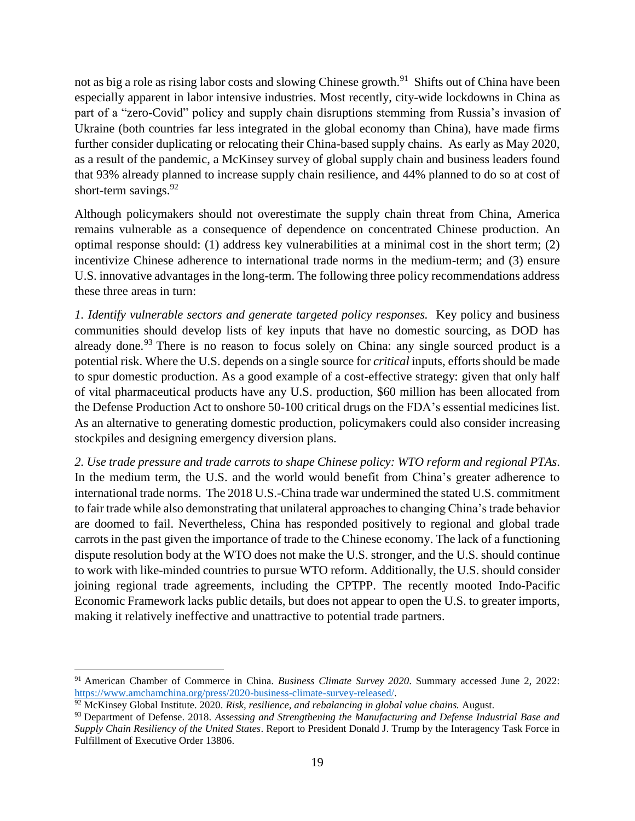not as big a role as rising labor costs and slowing Chinese growth.<sup>91</sup> Shifts out of China have been especially apparent in labor intensive industries. Most recently, city-wide lockdowns in China as part of a "zero-Covid" policy and supply chain disruptions stemming from Russia's invasion of Ukraine (both countries far less integrated in the global economy than China), have made firms further consider duplicating or relocating their China-based supply chains. As early as May 2020, as a result of the pandemic, a McKinsey survey of global supply chain and business leaders found that 93% already planned to increase supply chain resilience, and 44% planned to do so at cost of short-term savings.<sup>92</sup>

Although policymakers should not overestimate the supply chain threat from China, America remains vulnerable as a consequence of dependence on concentrated Chinese production. An optimal response should: (1) address key vulnerabilities at a minimal cost in the short term; (2) incentivize Chinese adherence to international trade norms in the medium-term; and (3) ensure U.S. innovative advantages in the long-term. The following three policy recommendations address these three areas in turn:

*1. Identify vulnerable sectors and generate targeted policy responses.* Key policy and business communities should develop lists of key inputs that have no domestic sourcing, as DOD has already done.<sup>93</sup> There is no reason to focus solely on China: any single sourced product is a potential risk. Where the U.S. depends on a single source for *critical* inputs, efforts should be made to spur domestic production. As a good example of a cost-effective strategy: given that only half of vital pharmaceutical products have any U.S. production, \$60 million has been allocated from the Defense Production Act to onshore 50-100 critical drugs on the FDA's essential medicines list. As an alternative to generating domestic production, policymakers could also consider increasing stockpiles and designing emergency diversion plans.

*2. Use trade pressure and trade carrots to shape Chinese policy: WTO reform and regional PTAs*. In the medium term, the U.S. and the world would benefit from China's greater adherence to international trade norms. The 2018 U.S.-China trade war undermined the stated U.S. commitment to fair trade while also demonstrating that unilateral approaches to changing China's trade behavior are doomed to fail. Nevertheless, China has responded positively to regional and global trade carrots in the past given the importance of trade to the Chinese economy. The lack of a functioning dispute resolution body at the WTO does not make the U.S. stronger, and the U.S. should continue to work with like-minded countries to pursue WTO reform. Additionally, the U.S. should consider joining regional trade agreements, including the CPTPP. The recently mooted Indo-Pacific Economic Framework lacks public details, but does not appear to open the U.S. to greater imports, making it relatively ineffective and unattractive to potential trade partners.

<sup>91</sup> American Chamber of Commerce in China*. Business Climate Survey 2020*. Summary accessed June 2, 2022: [https://www.amchamchina.org/press/2020-business-climate-survey-released/.](https://www.amchamchina.org/press/2020-business-climate-survey-released/)

<sup>92</sup> McKinsey Global Institute. 2020. *Risk, resilience, and rebalancing in global value chains.* August.

<sup>93</sup> Department of Defense. 2018. *Assessing and Strengthening the Manufacturing and Defense Industrial Base and Supply Chain Resiliency of the United States*. Report to President Donald J. Trump by the Interagency Task Force in Fulfillment of Executive Order 13806.